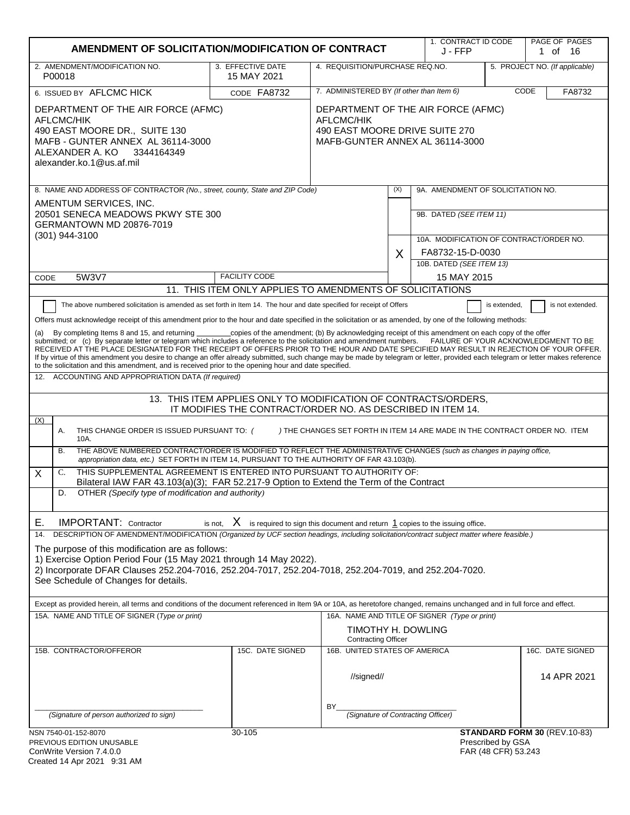| AMENDMENT OF SOLICITATION/MODIFICATION OF CONTRACT                                                                                                                                                                                                                                                                                                                                                                                                                                                                                                                                                                                                                                                                                                                                                                                                                                                                                                                                                                                               |                                                                                                                                |                                                                                                                       |     | 1. CONTRACT ID CODE<br>J - FFP                              |                                          | PAGE OF PAGES<br>1 of 16     |
|--------------------------------------------------------------------------------------------------------------------------------------------------------------------------------------------------------------------------------------------------------------------------------------------------------------------------------------------------------------------------------------------------------------------------------------------------------------------------------------------------------------------------------------------------------------------------------------------------------------------------------------------------------------------------------------------------------------------------------------------------------------------------------------------------------------------------------------------------------------------------------------------------------------------------------------------------------------------------------------------------------------------------------------------------|--------------------------------------------------------------------------------------------------------------------------------|-----------------------------------------------------------------------------------------------------------------------|-----|-------------------------------------------------------------|------------------------------------------|------------------------------|
| 2. AMENDMENT/MODIFICATION NO.<br>P00018                                                                                                                                                                                                                                                                                                                                                                                                                                                                                                                                                                                                                                                                                                                                                                                                                                                                                                                                                                                                          | 3. EFFECTIVE DATE<br>15 MAY 2021                                                                                               | 4. REQUISITION/PURCHASE REQ.NO.<br>5. PROJECT NO. (If applicable)                                                     |     |                                                             |                                          |                              |
| 6. ISSUED BY AFLCMC HICK                                                                                                                                                                                                                                                                                                                                                                                                                                                                                                                                                                                                                                                                                                                                                                                                                                                                                                                                                                                                                         | CODE FA8732                                                                                                                    | 7. ADMINISTERED BY (If other than Item 6)<br>CODE                                                                     |     |                                                             | FA8732                                   |                              |
| DEPARTMENT OF THE AIR FORCE (AFMC)<br>AFLCMC/HIK<br>490 EAST MOORE DR., SUITE 130<br>MAFB - GUNTER ANNEX AL 36114-3000<br>ALEXANDER A. KO<br>3344164349<br>alexander.ko.1@us.af.mil                                                                                                                                                                                                                                                                                                                                                                                                                                                                                                                                                                                                                                                                                                                                                                                                                                                              |                                                                                                                                | DEPARTMENT OF THE AIR FORCE (AFMC)<br>AFLCMC/HIK<br>490 EAST MOORE DRIVE SUITE 270<br>MAFB-GUNTER ANNEX AL 36114-3000 |     |                                                             |                                          |                              |
| 8. NAME AND ADDRESS OF CONTRACTOR (No., street, county, State and ZIP Code)                                                                                                                                                                                                                                                                                                                                                                                                                                                                                                                                                                                                                                                                                                                                                                                                                                                                                                                                                                      |                                                                                                                                |                                                                                                                       | (X) | 9A. AMENDMENT OF SOLICITATION NO.                           |                                          |                              |
| AMENTUM SERVICES, INC.<br>20501 SENECA MEADOWS PKWY STE 300<br>GERMANTOWN MD 20876-7019<br>(301) 944-3100                                                                                                                                                                                                                                                                                                                                                                                                                                                                                                                                                                                                                                                                                                                                                                                                                                                                                                                                        |                                                                                                                                |                                                                                                                       |     | 9B. DATED (SEE ITEM 11)                                     |                                          |                              |
|                                                                                                                                                                                                                                                                                                                                                                                                                                                                                                                                                                                                                                                                                                                                                                                                                                                                                                                                                                                                                                                  |                                                                                                                                |                                                                                                                       |     | 10A. MODIFICATION OF CONTRACT/ORDER NO.<br>FA8732-15-D-0030 |                                          |                              |
|                                                                                                                                                                                                                                                                                                                                                                                                                                                                                                                                                                                                                                                                                                                                                                                                                                                                                                                                                                                                                                                  |                                                                                                                                |                                                                                                                       | X   | 10B. DATED (SEE ITEM 13)                                    |                                          |                              |
| 5W3V7<br>CODE                                                                                                                                                                                                                                                                                                                                                                                                                                                                                                                                                                                                                                                                                                                                                                                                                                                                                                                                                                                                                                    | <b>FACILITY CODE</b>                                                                                                           |                                                                                                                       |     | 15 MAY 2015                                                 |                                          |                              |
|                                                                                                                                                                                                                                                                                                                                                                                                                                                                                                                                                                                                                                                                                                                                                                                                                                                                                                                                                                                                                                                  | 11. THIS ITEM ONLY APPLIES TO AMENDMENTS OF SOLICITATIONS                                                                      |                                                                                                                       |     |                                                             |                                          |                              |
| The above numbered solicitation is amended as set forth in Item 14. The hour and date specified for receipt of Offers<br>Offers must acknowledge receipt of this amendment prior to the hour and date specified in the solicitation or as amended, by one of the following methods:<br>By completing Items 8 and 15, and returning copies of the amendment; (b) By acknowledging receipt of this amendment on each copy of the offer<br>(a)<br>submitted; or (c) By separate letter or telegram which includes a reference to the solicitation and amendment numbers. FAILURE OF YOUR ACKNOWLEDGMENT TO BE<br>RECEIVED AT THE PLACE DESIGNATED FOR THE RECEIPT OF OFFERS PRIOR TO THE HOUR AND DATE SPECIFIED MAY RESULT IN REJECTION OF YOUR OFFER.<br>If by virtue of this amendment you desire to change an offer already submitted, such change may be made by telegram or letter, provided each telegram or letter makes reference<br>to the solicitation and this amendment, and is received prior to the opening hour and date specified. |                                                                                                                                |                                                                                                                       |     |                                                             | is extended,                             | is not extended.             |
| ACCOUNTING AND APPROPRIATION DATA (If required)<br>12.                                                                                                                                                                                                                                                                                                                                                                                                                                                                                                                                                                                                                                                                                                                                                                                                                                                                                                                                                                                           |                                                                                                                                |                                                                                                                       |     |                                                             |                                          |                              |
|                                                                                                                                                                                                                                                                                                                                                                                                                                                                                                                                                                                                                                                                                                                                                                                                                                                                                                                                                                                                                                                  | 13. THIS ITEM APPLIES ONLY TO MODIFICATION OF CONTRACTS/ORDERS,<br>IT MODIFIES THE CONTRACT/ORDER NO. AS DESCRIBED IN ITEM 14. |                                                                                                                       |     |                                                             |                                          |                              |
| (X)<br>THIS CHANGE ORDER IS ISSUED PURSUANT TO: (<br>Α.<br>10A.                                                                                                                                                                                                                                                                                                                                                                                                                                                                                                                                                                                                                                                                                                                                                                                                                                                                                                                                                                                  |                                                                                                                                | ) THE CHANGES SET FORTH IN ITEM 14 ARE MADE IN THE CONTRACT ORDER NO. ITEM                                            |     |                                                             |                                          |                              |
| THE ABOVE NUMBERED CONTRACT/ORDER IS MODIFIED TO REFLECT THE ADMINISTRATIVE CHANGES (such as changes in paying office,<br>В.<br>appropriation data, etc.) SET FORTH IN ITEM 14, PURSUANT TO THE AUTHORITY OF FAR 43.103(b).<br>THIS SUPPLEMENTAL AGREEMENT IS ENTERED INTO PURSUANT TO AUTHORITY OF:                                                                                                                                                                                                                                                                                                                                                                                                                                                                                                                                                                                                                                                                                                                                             |                                                                                                                                |                                                                                                                       |     |                                                             |                                          |                              |
| X<br>C.<br>Bilateral IAW FAR 43.103(a)(3); FAR 52.217-9 Option to Extend the Term of the Contract                                                                                                                                                                                                                                                                                                                                                                                                                                                                                                                                                                                                                                                                                                                                                                                                                                                                                                                                                |                                                                                                                                |                                                                                                                       |     |                                                             |                                          |                              |
| OTHER (Specify type of modification and authority)<br>D.                                                                                                                                                                                                                                                                                                                                                                                                                                                                                                                                                                                                                                                                                                                                                                                                                                                                                                                                                                                         |                                                                                                                                |                                                                                                                       |     |                                                             |                                          |                              |
| <b>IMPORTANT:</b> Contractor<br>Е.<br>DESCRIPTION OF AMENDMENT/MODIFICATION (Organized by UCF section headings, including solicitation/contract subject matter where feasible.)<br>14.                                                                                                                                                                                                                                                                                                                                                                                                                                                                                                                                                                                                                                                                                                                                                                                                                                                           | is not, $X$ is required to sign this document and return $1$ copies to the issuing office.                                     |                                                                                                                       |     |                                                             |                                          |                              |
| The purpose of this modification are as follows:<br>1) Exercise Option Period Four (15 May 2021 through 14 May 2022).<br>2) Incorporate DFAR Clauses 252.204-7016, 252.204-7017, 252.204-7018, 252.204-7019, and 252.204-7020.<br>See Schedule of Changes for details.                                                                                                                                                                                                                                                                                                                                                                                                                                                                                                                                                                                                                                                                                                                                                                           |                                                                                                                                |                                                                                                                       |     |                                                             |                                          |                              |
| Except as provided herein, all terms and conditions of the document referenced in Item 9A or 10A, as heretofore changed, remains unchanged and in full force and effect.                                                                                                                                                                                                                                                                                                                                                                                                                                                                                                                                                                                                                                                                                                                                                                                                                                                                         |                                                                                                                                |                                                                                                                       |     |                                                             |                                          |                              |
| 15A. NAME AND TITLE OF SIGNER (Type or print)                                                                                                                                                                                                                                                                                                                                                                                                                                                                                                                                                                                                                                                                                                                                                                                                                                                                                                                                                                                                    |                                                                                                                                | TIMOTHY H. DOWLING<br><b>Contracting Officer</b>                                                                      |     | 16A. NAME AND TITLE OF SIGNER (Type or print)               |                                          |                              |
| 15B. CONTRACTOR/OFFEROR                                                                                                                                                                                                                                                                                                                                                                                                                                                                                                                                                                                                                                                                                                                                                                                                                                                                                                                                                                                                                          | 15C. DATE SIGNED                                                                                                               | 16B. UNITED STATES OF AMERICA                                                                                         |     |                                                             |                                          | 16C. DATE SIGNED             |
|                                                                                                                                                                                                                                                                                                                                                                                                                                                                                                                                                                                                                                                                                                                                                                                                                                                                                                                                                                                                                                                  |                                                                                                                                | //signed//                                                                                                            |     |                                                             |                                          | 14 APR 2021                  |
| (Signature of person authorized to sign)                                                                                                                                                                                                                                                                                                                                                                                                                                                                                                                                                                                                                                                                                                                                                                                                                                                                                                                                                                                                         |                                                                                                                                | BY                                                                                                                    |     | (Signature of Contracting Officer)                          |                                          |                              |
| NSN 7540-01-152-8070<br>PREVIOUS EDITION UNUSABLE<br>ConWrite Version 7.4.0.0<br>Created 14 Apr 2021 9:31 AM                                                                                                                                                                                                                                                                                                                                                                                                                                                                                                                                                                                                                                                                                                                                                                                                                                                                                                                                     | 30-105                                                                                                                         |                                                                                                                       |     |                                                             | Prescribed by GSA<br>FAR (48 CFR) 53.243 | STANDARD FORM 30 (REV.10-83) |

| ConWrite Version 7.4.0.0    |  |
|-----------------------------|--|
| Created 14 Apr 2021 9:31 AM |  |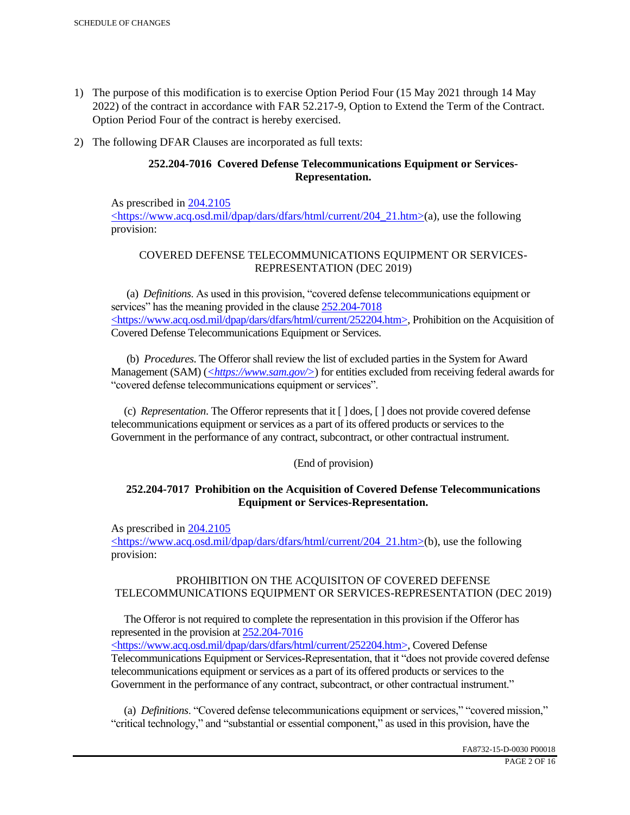- 1) The purpose of this modification is to exercise Option Period Four (15 May 2021 through 14 May 2022) of the contract in accordance with FAR 52.217-9, Option to Extend the Term of the Contract. Option Period Four of the contract is hereby exercised.
- 2) The following DFAR Clauses are incorporated as full texts:

# **252.204-7016 Covered Defense Telecommunications Equipment or Services-Representation.**

As prescribed in 204.2105 <https://www.acq.osd.mil/dpap/dars/dfars/html/current/204\_21.htm>(a), use the following provision:

# COVERED DEFENSE TELECOMMUNICATIONS EQUIPMENT OR SERVICES-REPRESENTATION (DEC 2019)

 (a) *Definitions*. As used in this provision, "covered defense telecommunications equipment or services" has the meaning provided in the clause 252.204-7018  $\langle$ https://www.acq.osd.mil/dpap/dars/dfars/html/current/252204.htm>, Prohibition on the Acquisition of Covered Defense Telecommunications Equipment or Services.

 (b) *Procedures*. The Offeror shall review the list of excluded parties in the System for Award Management (SAM) (*<https://www.sam.gov/>*) for entities excluded from receiving federal awards for "covered defense telecommunications equipment or services".

 (c) *Representation*. The Offeror represents that it [ ] does, [ ] does not provide covered defense telecommunications equipment or services as a part of its offered products or services to the Government in the performance of any contract, subcontract, or other contractual instrument.

## (End of provision)

## **252.204-7017 Prohibition on the Acquisition of Covered Defense Telecommunications Equipment or Services-Representation.**

As prescribed in 204.2105

<https://www.acq.osd.mil/dpap/dars/dfars/html/current/204\_21.htm>(b), use the following provision:

# PROHIBITION ON THE ACQUISITON OF COVERED DEFENSE TELECOMMUNICATIONS EQUIPMENT OR SERVICES-REPRESENTATION (DEC 2019)

 The Offeror is not required to complete the representation in this provision if the Offeror has represented in the provision at 252.204-7016

<https://www.acq.osd.mil/dpap/dars/dfars/html/current/252204.htm>, Covered Defense Telecommunications Equipment or Services-Representation, that it "does not provide covered defense telecommunications equipment or services as a part of its offered products or services to the Government in the performance of any contract, subcontract, or other contractual instrument."

 (a) *Definitions*. "Covered defense telecommunications equipment or services," "covered mission," "critical technology," and "substantial or essential component," as used in this provision, have the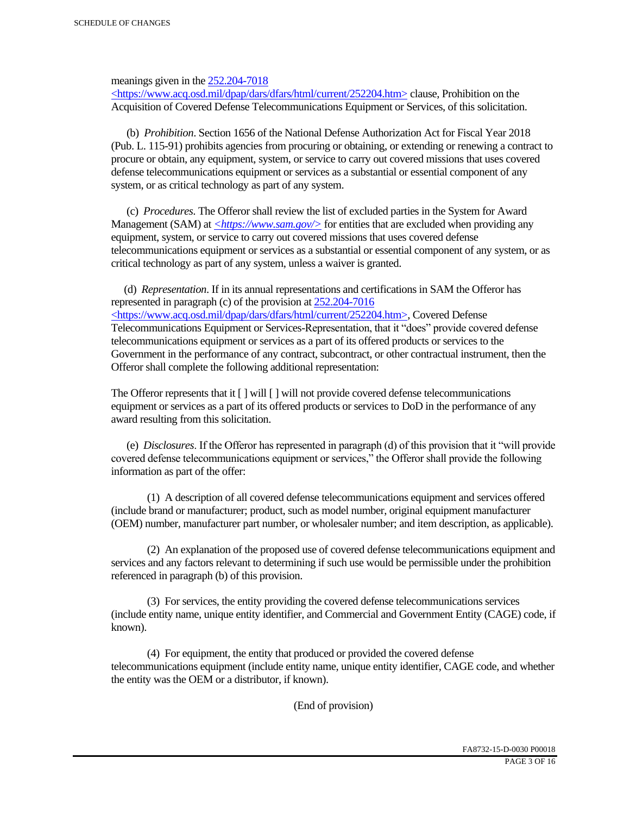meanings given in the 252.204-7018

 $\langle \text{https://www.acq.osd.mi]/dpap/dars/dfars/htm]/current/252204.htm> clause, Prohibition on the$ Acquisition of Covered Defense Telecommunications Equipment or Services, of this solicitation.

 (b) *Prohibition*. Section 1656 of the National Defense Authorization Act for Fiscal Year 2018 (Pub. L. 115-91) prohibits agencies from procuring or obtaining, or extending or renewing a contract to procure or obtain, any equipment, system, or service to carry out covered missions that uses covered defense telecommunications equipment or services as a substantial or essential component of any system, or as critical technology as part of any system.

 (c) *Procedures*. The Offeror shall review the list of excluded parties in the System for Award Management (SAM) at  $\leq$ https://www.sam.gov/> for entities that are excluded when providing any equipment, system, or service to carry out covered missions that uses covered defense telecommunications equipment or services as a substantial or essential component of any system, or as critical technology as part of any system, unless a waiver is granted.

 (d) *Representation*. If in its annual representations and certifications in SAM the Offeror has represented in paragraph (c) of the provision at 252.204-7016 <https://www.acq.osd.mil/dpap/dars/dfars/html/current/252204.htm>, Covered Defense Telecommunications Equipment or Services-Representation, that it "does" provide covered defense telecommunications equipment or services as a part of its offered products or services to the Government in the performance of any contract, subcontract, or other contractual instrument, then the Offeror shall complete the following additional representation:

The Offeror represents that it  $\lceil \cdot \rceil$  will  $\lceil \cdot \rceil$  will not provide covered defense telecommunications equipment or services as a part of its offered products or services to DoD in the performance of any award resulting from this solicitation.

 (e) *Disclosures*. If the Offeror has represented in paragraph (d) of this provision that it "will provide covered defense telecommunications equipment or services," the Offeror shall provide the following information as part of the offer:

 (1) A description of all covered defense telecommunications equipment and services offered (include brand or manufacturer; product, such as model number, original equipment manufacturer (OEM) number, manufacturer part number, or wholesaler number; and item description, as applicable).

 (2) An explanation of the proposed use of covered defense telecommunications equipment and services and any factors relevant to determining if such use would be permissible under the prohibition referenced in paragraph (b) of this provision.

 (3) For services, the entity providing the covered defense telecommunications services (include entity name, unique entity identifier, and Commercial and Government Entity (CAGE) code, if known).

 (4) For equipment, the entity that produced or provided the covered defense telecommunications equipment (include entity name, unique entity identifier, CAGE code, and whether the entity was the OEM or a distributor, if known).

(End of provision)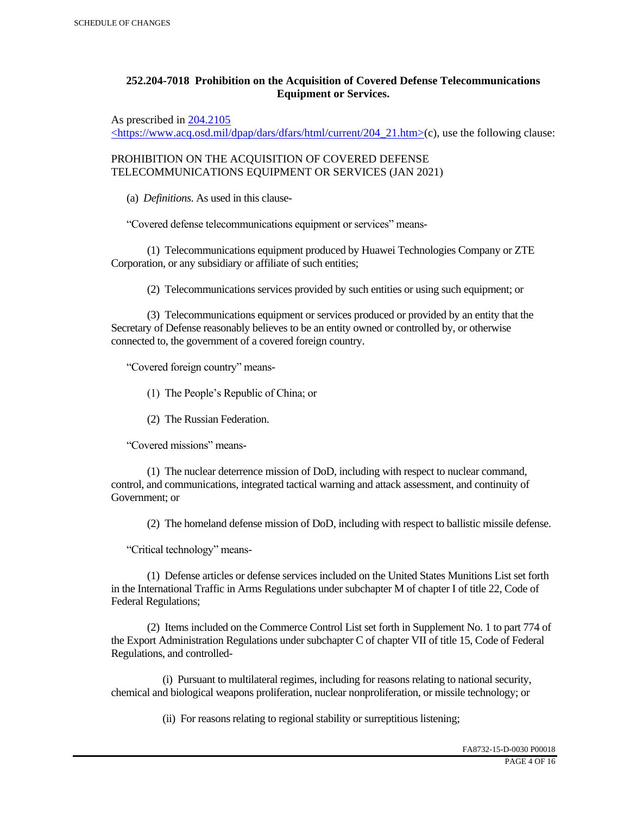# **252.204-7018 Prohibition on the Acquisition of Covered Defense Telecommunications Equipment or Services.**

As prescribed in 204.2105

 $\langle$ https://www.acq.osd.mil/dpap/dars/dfars/html/current/204\_21.htm>(c), use the following clause:

PROHIBITION ON THE ACQUISITION OF COVERED DEFENSE TELECOMMUNICATIONS EQUIPMENT OR SERVICES (JAN 2021)

(a) *Definitions*. As used in this clause-

"Covered defense telecommunications equipment or services" means-

 (1) Telecommunications equipment produced by Huawei Technologies Company or ZTE Corporation, or any subsidiary or affiliate of such entities;

(2) Telecommunications services provided by such entities or using such equipment; or

 (3) Telecommunications equipment or services produced or provided by an entity that the Secretary of Defense reasonably believes to be an entity owned or controlled by, or otherwise connected to, the government of a covered foreign country.

"Covered foreign country" means-

(1) The People's Republic of China; or

(2) The Russian Federation.

"Covered missions" means-

 (1) The nuclear deterrence mission of DoD, including with respect to nuclear command, control, and communications, integrated tactical warning and attack assessment, and continuity of Government; or

(2) The homeland defense mission of DoD, including with respect to ballistic missile defense.

"Critical technology" means-

 (1) Defense articles or defense services included on the United States Munitions List set forth in the International Traffic in Arms Regulations under subchapter M of chapter I of title 22, Code of Federal Regulations;

 (2) Items included on the Commerce Control List set forth in Supplement No. 1 to part 774 of the Export Administration Regulations under subchapter C of chapter VII of title 15, Code of Federal Regulations, and controlled-

 (i) Pursuant to multilateral regimes, including for reasons relating to national security, chemical and biological weapons proliferation, nuclear nonproliferation, or missile technology; or

(ii) For reasons relating to regional stability or surreptitious listening;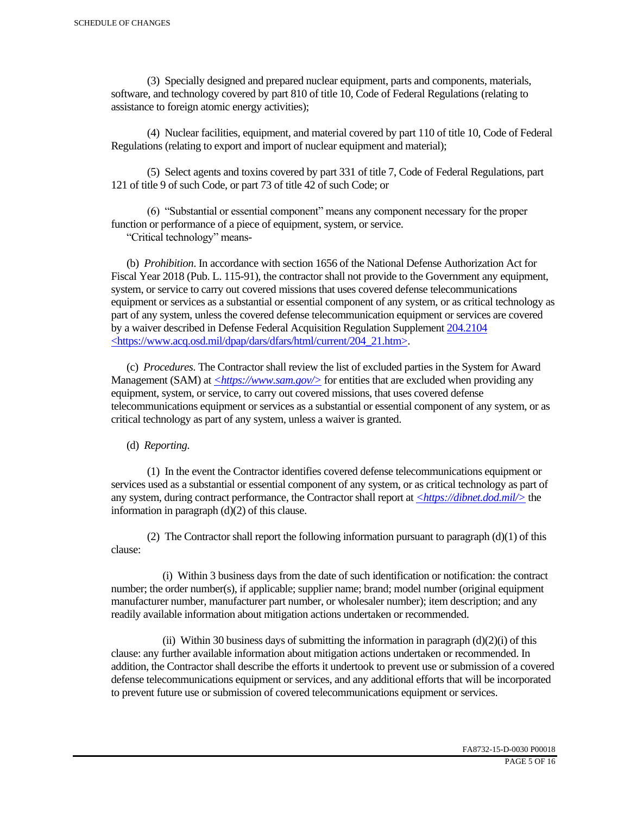(3) Specially designed and prepared nuclear equipment, parts and components, materials, software, and technology covered by part 810 of title 10, Code of Federal Regulations (relating to assistance to foreign atomic energy activities);

 (4) Nuclear facilities, equipment, and material covered by part 110 of title 10, Code of Federal Regulations (relating to export and import of nuclear equipment and material);

 (5) Select agents and toxins covered by part 331 of title 7, Code of Federal Regulations, part 121 of title 9 of such Code, or part 73 of title 42 of such Code; or

 (6) "Substantial or essential component" means any component necessary for the proper function or performance of a piece of equipment, system, or service.

"Critical technology" means-

 (b) *Prohibition*. In accordance with section 1656 of the National Defense Authorization Act for Fiscal Year 2018 (Pub. L. 115-91), the contractor shall not provide to the Government any equipment, system, or service to carry out covered missions that uses covered defense telecommunications equipment or services as a substantial or essential component of any system, or as critical technology as part of any system, unless the covered defense telecommunication equipment or services are covered by a waiver described in Defense Federal Acquisition Regulation Supplement 204.2104 <https://www.acq.osd.mil/dpap/dars/dfars/html/current/204\_21.htm>.

 (c) *Procedures*. The Contractor shall review the list of excluded parties in the System for Award Management (SAM) at <*https://www.sam.gov/*> for entities that are excluded when providing any equipment, system, or service, to carry out covered missions, that uses covered defense telecommunications equipment or services as a substantial or essential component of any system, or as critical technology as part of any system, unless a waiver is granted.

(d) *Reporting*.

 (1) In the event the Contractor identifies covered defense telecommunications equipment or services used as a substantial or essential component of any system, or as critical technology as part of any system, during contract performance, the Contractor shall report at *<https://dibnet.dod.mil/>* the information in paragraph (d)(2) of this clause.

(2) The Contractor shall report the following information pursuant to paragraph  $(d)(1)$  of this clause:

 (i) Within 3 business days from the date of such identification or notification: the contract number; the order number(s), if applicable; supplier name; brand; model number (original equipment manufacturer number, manufacturer part number, or wholesaler number); item description; and any readily available information about mitigation actions undertaken or recommended.

(ii) Within 30 business days of submitting the information in paragraph  $(d)(2)(i)$  of this clause: any further available information about mitigation actions undertaken or recommended. In addition, the Contractor shall describe the efforts it undertook to prevent use or submission of a covered defense telecommunications equipment or services, and any additional efforts that will be incorporated to prevent future use or submission of covered telecommunications equipment or services.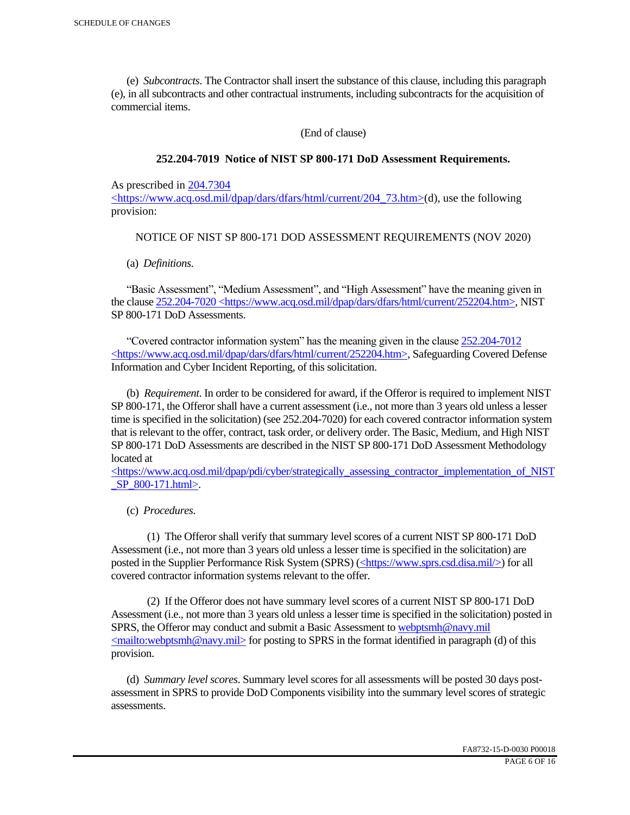(e) *Subcontracts*. The Contractor shall insert the substance of this clause, including this paragraph (e), in all subcontracts and other contractual instruments, including subcontracts for the acquisition of commercial items.

(End of clause)

### **252.204-7019 Notice of NIST SP 800-171 DoD Assessment Requirements.**

As prescribed in 204.7304

<https://www.acq.osd.mil/dpap/dars/dfars/html/current/204\_73.htm>(d), use the following provision:

### NOTICE OF NIST SP 800-171 DOD ASSESSMENT REQUIREMENTS (NOV 2020)

(a) *Definitions*.

 "Basic Assessment", "Medium Assessment", and "High Assessment" have the meaning given in the clause 252.204-7020 <https://www.acq.osd.mil/dpap/dars/dfars/html/current/252204.htm>, NIST SP 800-171 DoD Assessments.

 "Covered contractor information system" has the meaning given in the clause 252.204-7012 <https://www.acq.osd.mil/dpap/dars/dfars/html/current/252204.htm>, Safeguarding Covered Defense Information and Cyber Incident Reporting, of this solicitation.

 (b) *Requirement*. In order to be considered for award, if the Offeror is required to implement NIST SP 800-171, the Offeror shall have a current assessment (i.e., not more than 3 years old unless a lesser time is specified in the solicitation) (see 252.204-7020) for each covered contractor information system that is relevant to the offer, contract, task order, or delivery order. The Basic, Medium, and High NIST SP 800-171 DoD Assessments are described in the NIST SP 800-171 DoD Assessment Methodology located at

 $\lt$ https://www.acq.osd.mil/dpap/pdi/cyber/strategically\_assessing\_contractor\_implementation\_of\_NIST SP 800-171.html>.

(c) *Procedures*.

 (1) The Offeror shall verify that summary level scores of a current NIST SP 800-171 DoD Assessment (i.e., not more than 3 years old unless a lesser time is specified in the solicitation) are posted in the Supplier Performance Risk System (SPRS) (<https://www.sprs.csd.disa.mil/>) for all covered contractor information systems relevant to the offer.

 (2) If the Offeror does not have summary level scores of a current NIST SP 800-171 DoD Assessment (i.e., not more than 3 years old unless a lesser time is specified in the solicitation) posted in SPRS, the Offeror may conduct and submit a Basic Assessment to webptsmh@navy.mil  $\leq$ mailto:webptsmh@navy.mil> for posting to SPRS in the format identified in paragraph (d) of this provision.

 (d) *Summary level scores*. Summary level scores for all assessments will be posted 30 days postassessment in SPRS to provide DoD Components visibility into the summary level scores of strategic assessments.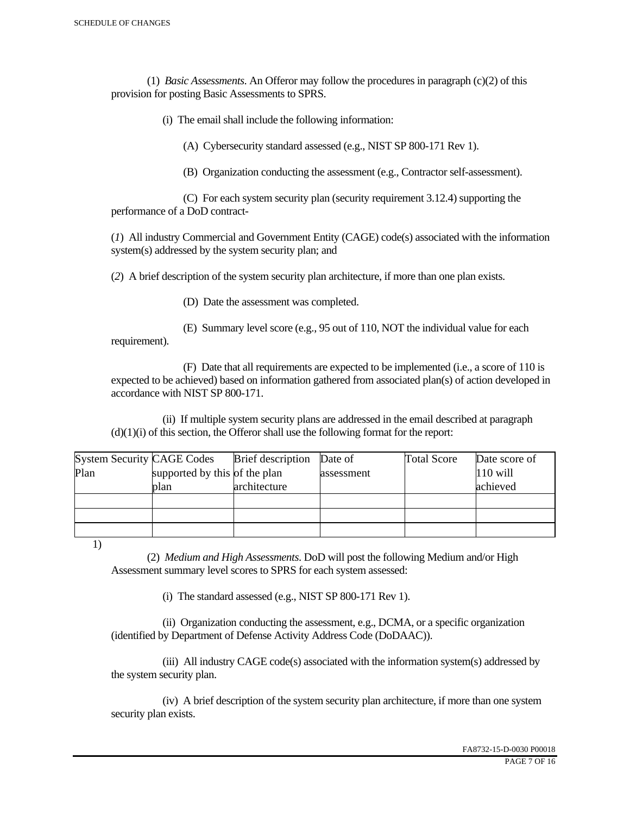(1) *Basic Assessments*. An Offeror may follow the procedures in paragraph (c)(2) of this provision for posting Basic Assessments to SPRS.

(i) The email shall include the following information:

(A) Cybersecurity standard assessed (e.g., NIST SP 800-171 Rev 1).

(B) Organization conducting the assessment (e.g., Contractor self-assessment).

 (C) For each system security plan (security requirement 3.12.4) supporting the performance of a DoD contract-

(*1*) All industry Commercial and Government Entity (CAGE) code(s) associated with the information system(s) addressed by the system security plan; and

(*2*) A brief description of the system security plan architecture, if more than one plan exists.

(D) Date the assessment was completed.

 (E) Summary level score (e.g., 95 out of 110, NOT the individual value for each requirement).

 (F) Date that all requirements are expected to be implemented (i.e., a score of 110 is expected to be achieved) based on information gathered from associated plan(s) of action developed in accordance with NIST SP 800-171.

 (ii) If multiple system security plans are addressed in the email described at paragraph  $(d)(1)(i)$  of this section, the Offeror shall use the following format for the report:

| <b>System Security CAGE Codes</b> |                               | <b>Brief</b> description | Date of    | <b>Total Score</b> | Date score of |
|-----------------------------------|-------------------------------|--------------------------|------------|--------------------|---------------|
| Plan                              | supported by this of the plan |                          | assessment |                    | $110$ will    |
|                                   | plan                          | architecture             |            |                    | achieved      |
|                                   |                               |                          |            |                    |               |
|                                   |                               |                          |            |                    |               |
|                                   |                               |                          |            |                    |               |

1)

 (2) *Medium and High Assessments*. DoD will post the following Medium and/or High Assessment summary level scores to SPRS for each system assessed:

(i) The standard assessed (e.g., NIST SP 800-171 Rev 1).

 (ii) Organization conducting the assessment, e.g., DCMA, or a specific organization (identified by Department of Defense Activity Address Code (DoDAAC)).

 (iii) All industry CAGE code(s) associated with the information system(s) addressed by the system security plan.

 (iv) A brief description of the system security plan architecture, if more than one system security plan exists.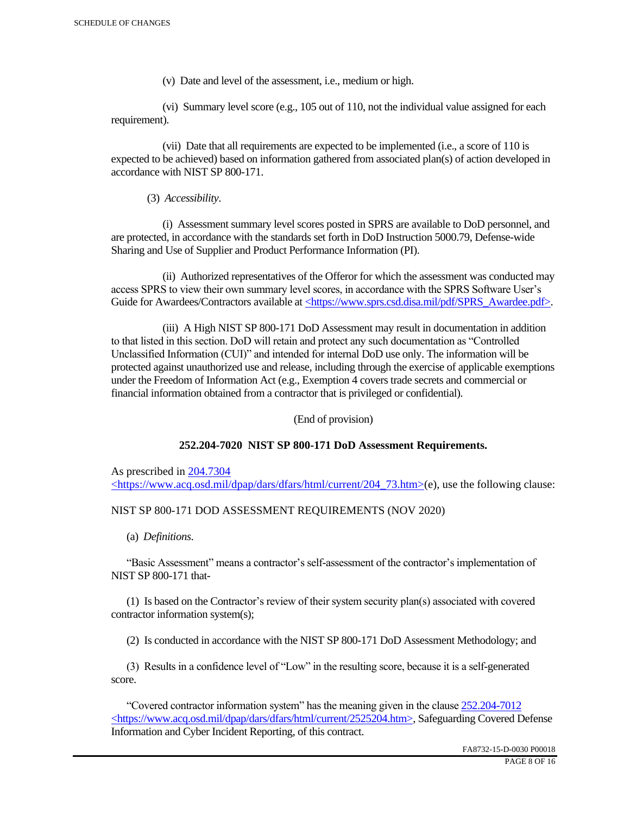(v) Date and level of the assessment, i.e., medium or high.

 (vi) Summary level score (e.g., 105 out of 110, not the individual value assigned for each requirement).

 (vii) Date that all requirements are expected to be implemented (i.e., a score of 110 is expected to be achieved) based on information gathered from associated plan(s) of action developed in accordance with NIST SP 800-171.

(3) *Accessibility*.

 (i) Assessment summary level scores posted in SPRS are available to DoD personnel, and are protected, in accordance with the standards set forth in DoD Instruction 5000.79, Defense-wide Sharing and Use of Supplier and Product Performance Information (PI).

 (ii) Authorized representatives of the Offeror for which the assessment was conducted may access SPRS to view their own summary level scores, in accordance with the SPRS Software User's Guide for Awardees/Contractors available at <https://www.sprs.csd.disa.mil/pdf/SPRS\_Awardee.pdf>.

 (iii) A High NIST SP 800-171 DoD Assessment may result in documentation in addition to that listed in this section. DoD will retain and protect any such documentation as "Controlled Unclassified Information (CUI)" and intended for internal DoD use only. The information will be protected against unauthorized use and release, including through the exercise of applicable exemptions under the Freedom of Information Act (e.g., Exemption 4 covers trade secrets and commercial or financial information obtained from a contractor that is privileged or confidential).

(End of provision)

#### **252.204-7020 NIST SP 800-171 DoD Assessment Requirements.**

As prescribed in 204.7304 <https://www.acq.osd.mil/dpap/dars/dfars/html/current/204\_73.htm>(e), use the following clause:

#### NIST SP 800-171 DOD ASSESSMENT REQUIREMENTS (NOV 2020)

(a) *Definitions*.

 "Basic Assessment" means a contractor's self-assessment of the contractor's implementation of NIST SP 800-171 that-

 (1) Is based on the Contractor's review of their system security plan(s) associated with covered contractor information system(s);

(2) Is conducted in accordance with the NIST SP 800-171 DoD Assessment Methodology; and

 (3) Results in a confidence level of "Low" in the resulting score, because it is a self-generated score.

 "Covered contractor information system" has the meaning given in the clause 252.204-7012 <https://www.acq.osd.mil/dpap/dars/dfars/html/current/2525204.htm>, Safeguarding Covered Defense Information and Cyber Incident Reporting, of this contract.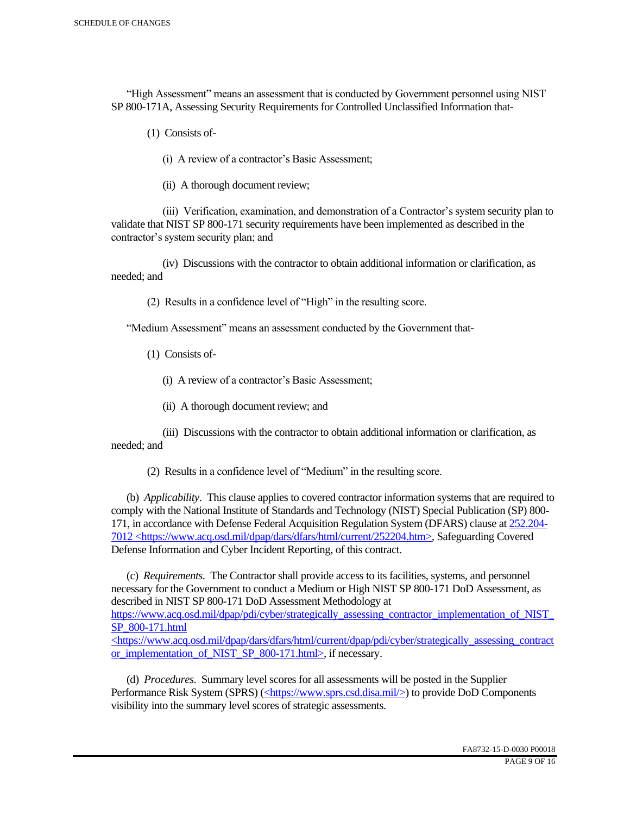"High Assessment" means an assessment that is conducted by Government personnel using NIST SP 800-171A, Assessing Security Requirements for Controlled Unclassified Information that-

(1) Consists of-

(i) A review of a contractor's Basic Assessment;

(ii) A thorough document review;

 (iii) Verification, examination, and demonstration of a Contractor's system security plan to validate that NIST SP 800-171 security requirements have been implemented as described in the contractor's system security plan; and

 (iv) Discussions with the contractor to obtain additional information or clarification, as needed; and

(2) Results in a confidence level of "High" in the resulting score.

"Medium Assessment" means an assessment conducted by the Government that-

(1) Consists of-

(i) A review of a contractor's Basic Assessment;

(ii) A thorough document review; and

 (iii) Discussions with the contractor to obtain additional information or clarification, as needed; and

(2) Results in a confidence level of "Medium" in the resulting score.

 (b) *Applicability*. This clause applies to covered contractor information systems that are required to comply with the National Institute of Standards and Technology (NIST) Special Publication (SP) 800- 171, in accordance with Defense Federal Acquisition Regulation System (DFARS) clause at 252.204- 7012 <https://www.acq.osd.mil/dpap/dars/dfars/html/current/252204.htm>, Safeguarding Covered Defense Information and Cyber Incident Reporting, of this contract.

 (c) *Requirements*. The Contractor shall provide access to its facilities, systems, and personnel necessary for the Government to conduct a Medium or High NIST SP 800-171 DoD Assessment, as described in NIST SP 800-171 DoD Assessment Methodology at https://www.acq.osd.mil/dpap/pdi/cyber/strategically\_assessing\_contractor\_implementation\_of\_NIST\_ SP\_800-171.html

<https://www.acq.osd.mil/dpap/dars/dfars/html/current/dpap/pdi/cyber/strategically\_assessing\_contract or implementation of NIST SP 800-171.html>, if necessary.

 (d) *Procedures*. Summary level scores for all assessments will be posted in the Supplier Performance Risk System (SPRS) (<https://www.sprs.csd.disa.mil/>) to provide DoD Components visibility into the summary level scores of strategic assessments.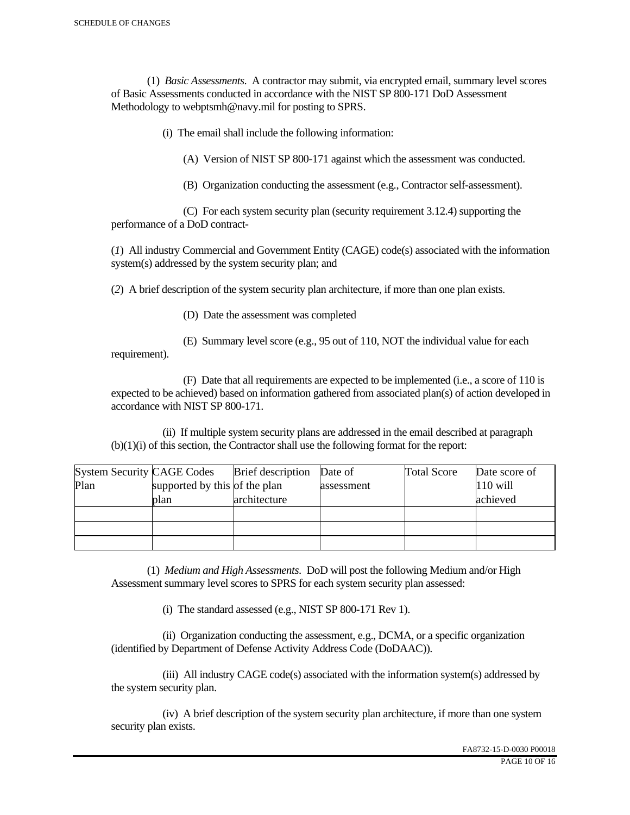(1) *Basic Assessments*. A contractor may submit, via encrypted email, summary level scores of Basic Assessments conducted in accordance with the NIST SP 800-171 DoD Assessment Methodology to webptsmh@navy.mil for posting to SPRS.

(i) The email shall include the following information:

(A) Version of NIST SP 800-171 against which the assessment was conducted.

(B) Organization conducting the assessment (e.g., Contractor self-assessment).

 (C) For each system security plan (security requirement 3.12.4) supporting the performance of a DoD contract-

(*1*) All industry Commercial and Government Entity (CAGE) code(s) associated with the information system(s) addressed by the system security plan; and

(*2*) A brief description of the system security plan architecture, if more than one plan exists.

(D) Date the assessment was completed

requirement).

(E) Summary level score (e.g., 95 out of 110, NOT the individual value for each

 (F) Date that all requirements are expected to be implemented (i.e., a score of 110 is expected to be achieved) based on information gathered from associated plan(s) of action developed in accordance with NIST SP 800-171.

 (ii) If multiple system security plans are addressed in the email described at paragraph (b)(1)(i) of this section, the Contractor shall use the following format for the report:

| <b>System Security CAGE Codes</b> |                               | <b>Brief</b> description | Date of    | <b>Total Score</b> | Date score of |
|-----------------------------------|-------------------------------|--------------------------|------------|--------------------|---------------|
| Plan                              | supported by this of the plan |                          | assessment |                    | $110$ will    |
|                                   | plan                          | architecture             |            |                    | achieved      |
|                                   |                               |                          |            |                    |               |
|                                   |                               |                          |            |                    |               |
|                                   |                               |                          |            |                    |               |

 (1) *Medium and High Assessments*. DoD will post the following Medium and/or High Assessment summary level scores to SPRS for each system security plan assessed:

(i) The standard assessed (e.g., NIST SP 800-171 Rev 1).

 (ii) Organization conducting the assessment, e.g., DCMA, or a specific organization (identified by Department of Defense Activity Address Code (DoDAAC)).

 (iii) All industry CAGE code(s) associated with the information system(s) addressed by the system security plan.

 (iv) A brief description of the system security plan architecture, if more than one system security plan exists.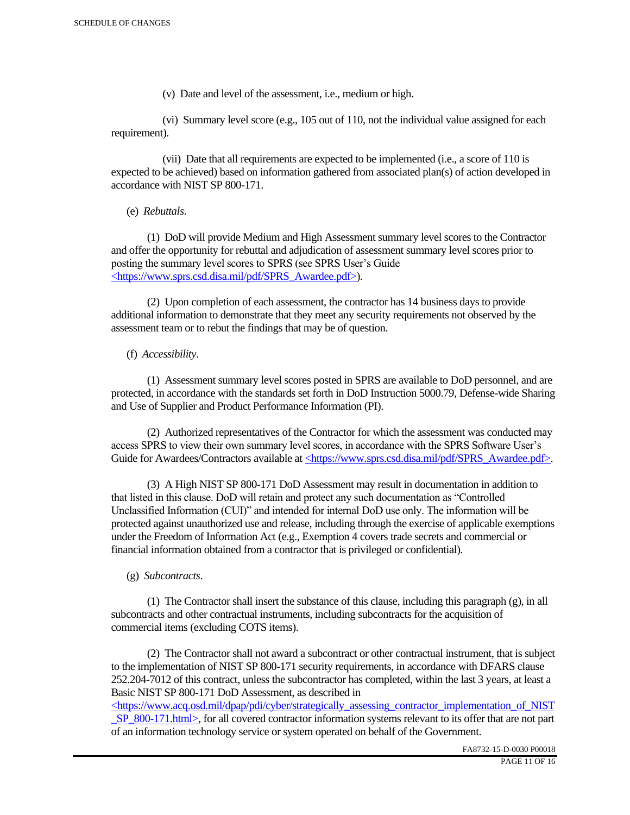(v) Date and level of the assessment, i.e., medium or high.

 (vi) Summary level score (e.g., 105 out of 110, not the individual value assigned for each requirement).

 (vii) Date that all requirements are expected to be implemented (i.e., a score of 110 is expected to be achieved) based on information gathered from associated plan(s) of action developed in accordance with NIST SP 800-171.

(e) *Rebuttals*.

 (1) DoD will provide Medium and High Assessment summary level scores to the Contractor and offer the opportunity for rebuttal and adjudication of assessment summary level scores prior to posting the summary level scores to SPRS (see SPRS User's Guide <https://www.sprs.csd.disa.mil/pdf/SPRS\_Awardee.pdf>).

 (2) Upon completion of each assessment, the contractor has 14 business days to provide additional information to demonstrate that they meet any security requirements not observed by the assessment team or to rebut the findings that may be of question.

## (f) *Accessibility*.

 (1) Assessment summary level scores posted in SPRS are available to DoD personnel, and are protected, in accordance with the standards set forth in DoD Instruction 5000.79, Defense-wide Sharing and Use of Supplier and Product Performance Information (PI).

 (2) Authorized representatives of the Contractor for which the assessment was conducted may access SPRS to view their own summary level scores, in accordance with the SPRS Software User's Guide for Awardees/Contractors available at <https://www.sprs.csd.disa.mil/pdf/SPRS\_Awardee.pdf>.

 (3) A High NIST SP 800-171 DoD Assessment may result in documentation in addition to that listed in this clause. DoD will retain and protect any such documentation as "Controlled Unclassified Information (CUI)" and intended for internal DoD use only. The information will be protected against unauthorized use and release, including through the exercise of applicable exemptions under the Freedom of Information Act (e.g., Exemption 4 covers trade secrets and commercial or financial information obtained from a contractor that is privileged or confidential).

## (g) *Subcontracts*.

(1) The Contractor shall insert the substance of this clause, including this paragraph  $(g)$ , in all subcontracts and other contractual instruments, including subcontracts for the acquisition of commercial items (excluding COTS items).

 (2) The Contractor shall not award a subcontract or other contractual instrument, that is subject to the implementation of NIST SP 800-171 security requirements, in accordance with DFARS clause 252.204-7012 of this contract, unless the subcontractor has completed, within the last 3 years, at least a Basic NIST SP 800-171 DoD Assessment, as described in

<https://www.acq.osd.mil/dpap/pdi/cyber/strategically\_assessing\_contractor\_implementation\_of\_NIST \_SP\_800-171.html>, for all covered contractor information systems relevant to its offer that are not part of an information technology service or system operated on behalf of the Government.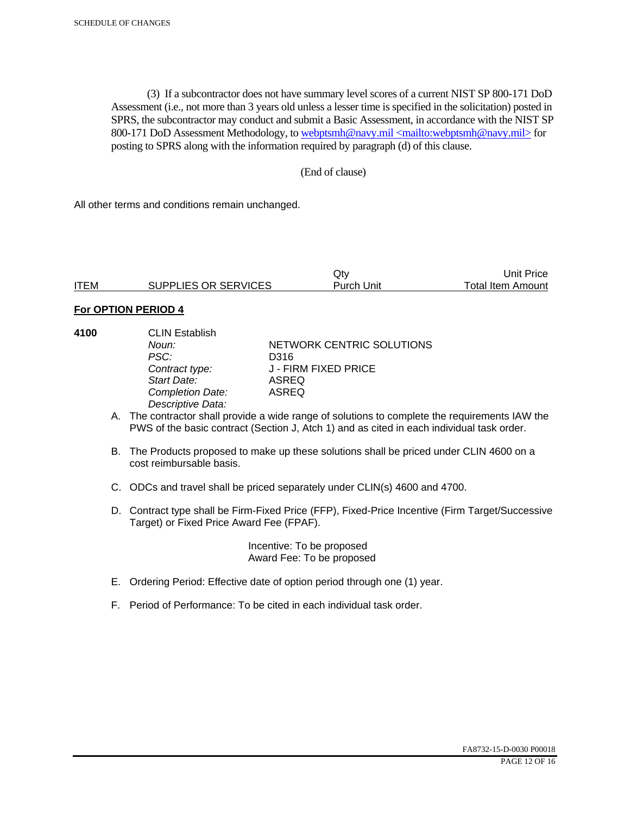(3) If a subcontractor does not have summary level scores of a current NIST SP 800-171 DoD Assessment (i.e., not more than 3 years old unless a lesser time is specified in the solicitation) posted in SPRS, the subcontractor may conduct and submit a Basic Assessment, in accordance with the NIST SP 800-171 DoD Assessment Methodology, to webptsmh@navy.mil <mailto:webptsmh@navy.mil> for posting to SPRS along with the information required by paragraph (d) of this clause.

## (End of clause)

All other terms and conditions remain unchanged.

|             |                      | Qtv               | Unit Price               |
|-------------|----------------------|-------------------|--------------------------|
| <b>ITEM</b> | SUPPLIES OR SERVICES | <b>Purch Unit</b> | <b>Total Item Amount</b> |

#### **For OPTION PERIOD 4**

| 4100 | <b>CLIN Establish</b>   |                                                                                             |
|------|-------------------------|---------------------------------------------------------------------------------------------|
|      | Noun:                   | NETWORK CENTRIC SOLUTIONS                                                                   |
|      | PSC:                    | D316                                                                                        |
|      | Contract type:          | J - FIRM FIXED PRICE                                                                        |
|      | Start Date:             | <b>ASREQ</b>                                                                                |
|      | <b>Completion Date:</b> | <b>ASREQ</b>                                                                                |
|      | Descriptive Data:       |                                                                                             |
|      |                         | The contractor shall provide a wide range of solutions to complete the requirements IAM the |

- A. The contractor shall provide a wide range of solutions to complete the requirements IAW the PWS of the basic contract (Section J, Atch 1) and as cited in each individual task order.
- B. The Products proposed to make up these solutions shall be priced under CLIN 4600 on a cost reimbursable basis.
- C. ODCs and travel shall be priced separately under CLIN(s) 4600 and 4700.
- D. Contract type shall be Firm-Fixed Price (FFP), Fixed-Price Incentive (Firm Target/Successive Target) or Fixed Price Award Fee (FPAF).

 Incentive: To be proposed Award Fee: To be proposed

- E. Ordering Period: Effective date of option period through one (1) year.
- F. Period of Performance: To be cited in each individual task order.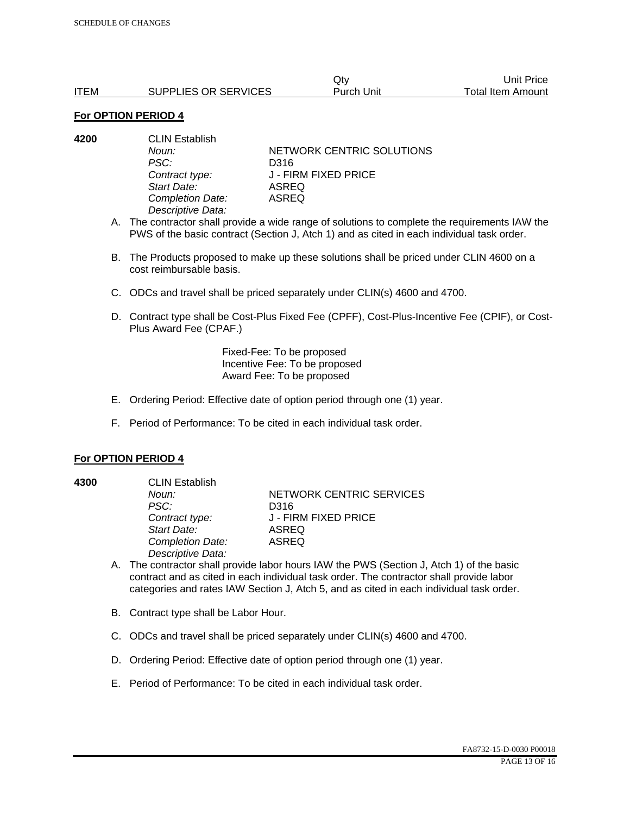|             |                      | Qtv        | Unit Price:       |
|-------------|----------------------|------------|-------------------|
| <b>ITEM</b> | SUPPLIES OR SERVICES | Purch Unit | Total Item Amount |

| 4200 | <b>CLIN Establish</b> |                           |  |
|------|-----------------------|---------------------------|--|
|      | Noun:                 | NETWORK CENTRIC SOLUTIONS |  |
|      | PSC:                  | D316                      |  |
|      | Contract type:        | J - FIRM FIXED PRICE      |  |
|      | Start Date:           | <b>ASREQ</b>              |  |
|      | Completion Date:      | <b>ASREQ</b>              |  |
|      | Descriptive Data:     |                           |  |
|      |                       |                           |  |

- A. The contractor shall provide a wide range of solutions to complete the requirements IAW the PWS of the basic contract (Section J, Atch 1) and as cited in each individual task order.
- B. The Products proposed to make up these solutions shall be priced under CLIN 4600 on a cost reimbursable basis.
- C. ODCs and travel shall be priced separately under CLIN(s) 4600 and 4700.
- D. Contract type shall be Cost-Plus Fixed Fee (CPFF), Cost-Plus-Incentive Fee (CPIF), or Cost-Plus Award Fee (CPAF.)

Fixed-Fee: To be proposed Incentive Fee: To be proposed Award Fee: To be proposed

- E. Ordering Period: Effective date of option period through one (1) year.
- F. Period of Performance: To be cited in each individual task order.

#### **For OPTION PERIOD 4**

**4300** CLIN Establish *PSC:* D316 *Start Date:* ASREQ *Completion Date:* ASREQ *Descriptive Data:* 

**Noun: NETWORK CENTRIC SERVICES** *Contract type:* J - FIRM FIXED PRICE

- A. The contractor shall provide labor hours IAW the PWS (Section J, Atch 1) of the basic contract and as cited in each individual task order. The contractor shall provide labor categories and rates IAW Section J, Atch 5, and as cited in each individual task order.
- B. Contract type shall be Labor Hour.
- C. ODCs and travel shall be priced separately under CLIN(s) 4600 and 4700.
- D. Ordering Period: Effective date of option period through one (1) year.
- E. Period of Performance: To be cited in each individual task order.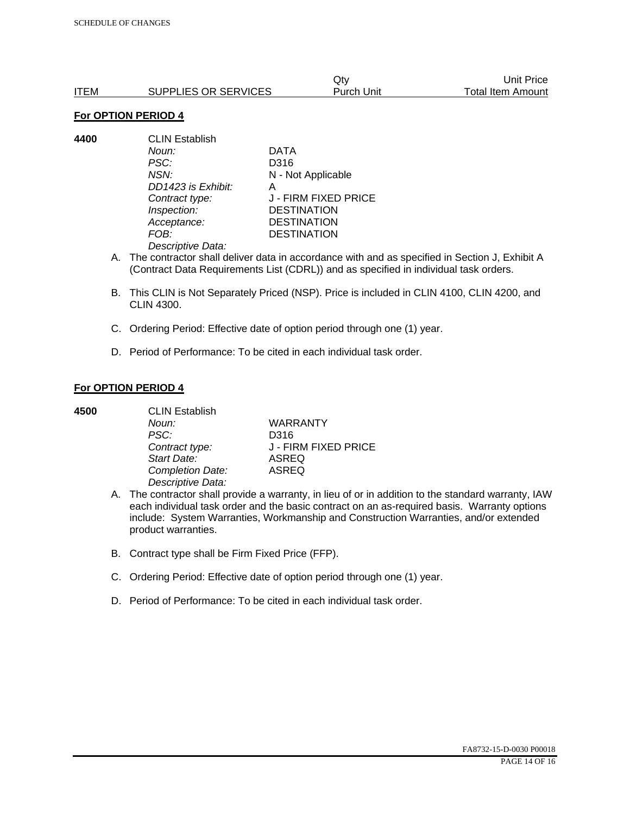|      |                      | Qtv               | Unit Price               |
|------|----------------------|-------------------|--------------------------|
| ITEM | SUPPLIES OR SERVICES | <b>Purch Unit</b> | <b>Total Item Amount</b> |

**4400** CLIN Establish *Noun:* DATA *PSC:* D316 *NSN:* N - Not Applicable *DD1423 is Exhibit:* A *Inspection:* DESTINATION *Acceptance:* DESTINATION *FOB:* DESTINATION *Descriptive Data:* 

*Contract type:* J - FIRM FIXED PRICE

- A. The contractor shall deliver data in accordance with and as specified in Section J, Exhibit A (Contract Data Requirements List (CDRL)) and as specified in individual task orders.
- B. This CLIN is Not Separately Priced (NSP). Price is included in CLIN 4100, CLIN 4200, and CLIN 4300.
- C. Ordering Period: Effective date of option period through one (1) year.
- D. Period of Performance: To be cited in each individual task order.

### **For OPTION PERIOD 4**

| 4500 | <b>CLIN Establish</b> |                      |  |
|------|-----------------------|----------------------|--|
|      | Noun:                 | <b>WARRANTY</b>      |  |
|      | PSC:                  | D316                 |  |
|      | Contract type:        | J - FIRM FIXED PRICE |  |
|      | Start Date:           | <b>ASREQ</b>         |  |
|      | Completion Date:      | <b>ASREQ</b>         |  |
|      | Descriptive Data:     |                      |  |

- A. The contractor shall provide a warranty, in lieu of or in addition to the standard warranty, IAW each individual task order and the basic contract on an as-required basis. Warranty options include: System Warranties, Workmanship and Construction Warranties, and/or extended product warranties.
- B. Contract type shall be Firm Fixed Price (FFP).
- C. Ordering Period: Effective date of option period through one (1) year.
- D. Period of Performance: To be cited in each individual task order.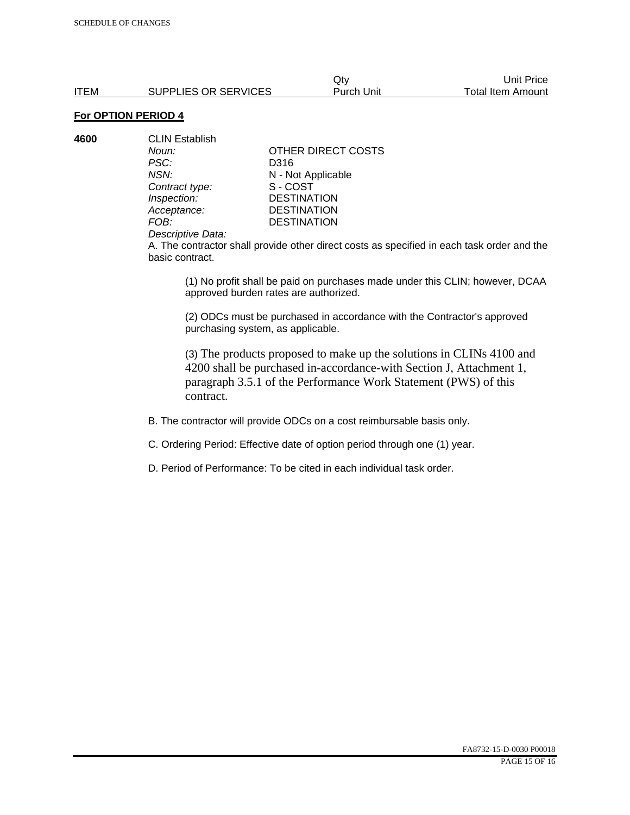**4600** CLIN Establish *PSC:* D316 *NSN:* **N** - Not Applicable<br>
Contract type: S - COST **Contract type:** *Inspection:* DESTINATION<br> *Acceptance:* DESTINATION *Acceptance:* DESTINATION<br>FOB: DESTINATION

*Noun:* **CONTAINALLY** OTHER DIRECT COSTS **DESTINATION** 

#### *Descriptive Data:*

A. The contractor shall provide other direct costs as specified in each task order and the basic contract.

(1) No profit shall be paid on purchases made under this CLIN; however, DCAA approved burden rates are authorized.

(2) ODCs must be purchased in accordance with the Contractor's approved purchasing system, as applicable.

(3) The products proposed to make up the solutions in CLINs 4100 and 4200 shall be purchased in-accordance-with Section J, Attachment 1, paragraph 3.5.1 of the Performance Work Statement (PWS) of this contract.

B. The contractor will provide ODCs on a cost reimbursable basis only.

C. Ordering Period: Effective date of option period through one (1) year.

D. Period of Performance: To be cited in each individual task order.